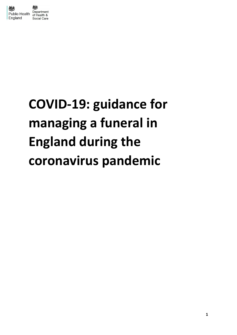

# **COVID-19: guidance for managing a funeral in England during the coronavirus pandemic**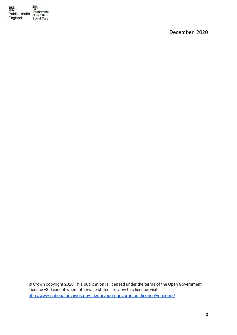

December 2020

© Crown copyright 2020 This publication is licensed under the terms of the Open Government Licence v3.0 except where otherwise stated. To view this licence, visit: <http://www.nationalarchives.gov.uk/doc/open-government-licence/version/3/>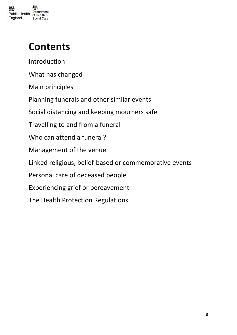

# **Contents**

[Introduction](#page-3-0)

[What has changed](#page-3-1)

[Main principles](#page-4-0)

[Planning funerals and other similar events](#page-6-0)

[Social distancing and keeping mourners safe](#page-7-0)

[Travelling to and from a funeral](#page-12-0)

[Who can attend a funeral?](#page-8-0)

[Management of the venue](#page-13-0)

[Linked religious, belief-based or commemorative events](#page-16-0)

[Personal care of deceased people](#page-18-0)

[Experiencing grief or bereavement](#page-18-1)

[The Health Protection Regulations](#page-19-0)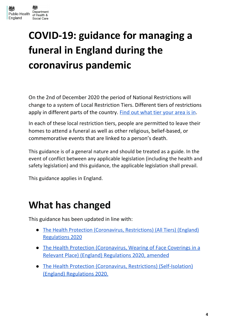

# <span id="page-3-0"></span>**COVID-19: guidance for managing a funeral in England during the coronavirus pandemic**

On the 2nd of December 2020 the period of National Restrictions will change to a system of Local Restriction Tiers. Different tiers of restrictions apply in different parts of the country. Find out [what](https://www.gov.uk/find-coronavirus-local-restrictions) tier your area is in.

In each of these local restriction tiers, people are permitted to leave their homes to attend a funeral as well as other religious, belief-based, or commemorative events that are linked to a person's death.

This guidance is of a general nature and should be treated as a guide. In the event of conflict between any applicable legislation (including the health and safety legislation) and this guidance, the applicable legislation shall prevail.

This guidance applies in England.

### <span id="page-3-1"></span>**What has changed**

This guidance has been updated in line with:

- The Health Protection [\(Coronavirus,](https://www.legislation.gov.uk/uksi/2020/1374/contents/made) Restrictions) (All Tiers) (England) [Regulations](https://www.legislation.gov.uk/uksi/2020/1374/contents/made) 2020
- The Health Protection [\(Coronavirus,](https://www.legislation.gov.uk/uksi/2020/839/made) Wearing of Face Coverings in a Relevant Place) (England) [Regulations](https://www.legislation.gov.uk/uksi/2020/839/made) 2020, amended
- The Health Protection (Coronavirus, Restrictions) [\(Self-Isolation\)](https://www.legislation.gov.uk/uksi/2020/1045/made) (England) [Regulations](https://www.legislation.gov.uk/uksi/2020/1045/made) 2020.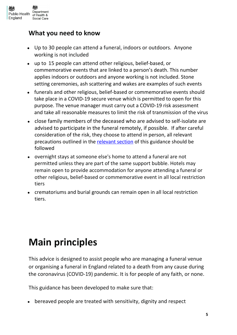

#### **What you need to know**

- Up to 30 people can attend a funeral, indoors or outdoors. Anyone working is not included
- up to 15 people can attend other religious, belief-based, or commemorative events that are linked to a person's death. This number applies indoors or outdoors and anyone working is not included. Stone setting ceremonies, ash scattering and wakes are examples of such events
- funerals and other religious, belief-based or commemorative events should take place in a COVID-19 secure venue which is permitted to open for this purpose. The venue manager must carry out a COVID-19 risk [assessment](https://www.hse.gov.uk/coronavirus/working-safely/risk-assessment.htm) and take all reasonable measures to limit the risk of transmission of the virus
- close family members of the deceased who are advised to self-isolate are advised to participate in the funeral remotely, if possible. If after careful consideration of the risk, they choose to attend in person, all [relevant](#page-9-0) [precautions](#page-9-0) outlined in the [relevant](#page-8-0) section of this guidance should be followed
- overnight stays at someone else's home to attend a funeral are not permitted unless they are part of the same support bubble. Hotels may remain open to provide accommodation for anyone attending a funeral or other religious, belief-based or commemorative event in all local restriction tiers
- crematoriums and burial grounds can remain open in all local restriction tiers.

### <span id="page-4-0"></span>**Main principles**

This advice is designed to assist people who are managing a funeral venue or organising a funeral in England related to a death from any cause during the coronavirus (COVID-19) pandemic. It is for people of any faith, or none.

This guidance has been developed to make sure that:

bereaved people are treated with sensitivity, dignity and respect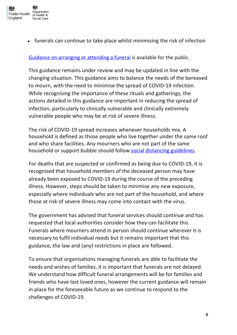

• funerals can continue to take place whilst minimising the risk of infection

Guidance on arranging or [attending](https://www.gov.uk/government/publications/covid-19-guidance-for-managing-a-funeral-during-the-coronavirus-pandemic/covid-19-guidance-for-managing-a-funeral-during-the-coronavirus-pandemic) a funeral is available for the public.

This guidance remains under review and may be updated in line with the changing situation. This guidance aims to balance the needs of the bereaved to mourn, with the need to minimise the spread of COVID-19 infection. While recognising the importance of these rituals and gatherings, the actions detailed in this guidance are important in reducing the spread of infection, particularly to clinically vulnerable and clinically extremely vulnerable people who may be at risk of severe illness.

The risk of COVID-19 spread increases whenever households mix. A household is defined as those people who live together under the same roof and who share facilities. Any mourners who are not part of the same household or support bubble should follow social [distancing](https://www.gov.uk/government/publications/coronavirus-covid-19-meeting-with-others-safely-social-distancing/coronavirus-covid-19-meeting-with-others-safely-social-distancing) guidelines.

For deaths that are suspected or confirmed as being due to COVID-19, it is recognised that household members of the deceased person may have already been exposed to COVID-19 during the course of the preceding illness. However, steps should be taken to minimise any new exposure, especially where individuals who are not part of the household, and where those at risk of severe illness may come into contact with the virus.

The government has advised that funeral services should continue and has requested that local authorities consider how they can facilitate this. Funerals where mourners attend in person should continue wherever it is necessary to fulfil individual needs but it remains important that this guidance, the law and (any) restrictions in place are followed.

To ensure that organisations managing funerals are able to facilitate the needs and wishes of families, it is important that funerals are not delayed. We understand how difficult funeral arrangements will be for families and friends who have lost loved ones, however the current guidance will remain in place for the foreseeable future as we continue to respond to the challenges of COVID-19.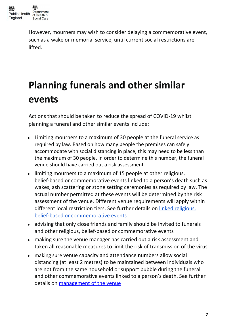

However, mourners may wish to consider delaying a commemorative event, such as a wake or memorial service, until current social restrictions are lifted.

# <span id="page-6-0"></span>**Planning funerals and other similar events**

Actions that should be taken to reduce the spread of COVID-19 whilst planning a funeral and other similar events include:

- Limiting mourners to a maximum of 30 people at the funeral service as required by law. Based on how many people the premises can safely accommodate with social distancing in place, this may need to be less than the maximum of 30 people. In order to determine this number, the funeral venue should have carried out a risk assessment
- limiting mourners to a maximum of 15 people at other religious, belief-based or commemorative events linked to a person's death such as wakes, ash scattering or stone setting ceremonies as required by law. The actual number permitted at these events will be determined by the risk assessment of the venue. Different venue requirements will apply within different local restriction tiers. See further details on linked [religious,](#page-16-0) belief-based or [commemorative](#page-16-0) events
- advising that only close friends and family should be invited to funerals and other religious, belief-based or commemorative events
- making sure the venue manager has carried out a risk assessment and taken all reasonable measures to limit the risk of transmission of the virus
- making sure venue capacity and attendance numbers allow social distancing (at least 2 metres) to be maintained between individuals who are not from the same household or support bubble during the funeral and other commemorative events linked to a person's death. See further details on [management](#page-13-0) of the venue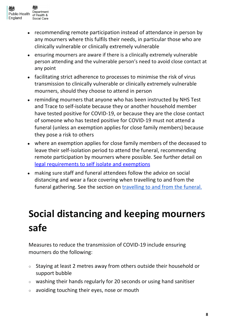

- recommending remote participation instead of attendance in person by any mourners where this fulfils their needs, in particular those who are clinically vulnerable or clinically extremely vulnerable
- ensuring mourners are aware if there is a clinically extremely vulnerable person attending and the vulnerable person's need to avoid close contact at any point
- facilitating strict adherence to processes to minimise the risk of virus transmission to clinically vulnerable or clinically extremely vulnerable mourners, should they choose to attend in person
- reminding mourners that anyone who has been instructed by NHS Test and Trace to self-isolate because they or another household member have tested positive for COVID-19, or because they are the close contact of someone who has tested positive for COVID-19 must not attend a funeral (unless an exemption applies for close family members) because they pose a risk to others
- where an exemption applies for close family members of the deceased to leave their self-isolation period to attend the funeral, recommending remote participation by mourners where possible. See further detail o[n](#page-9-0) legal [requirements](#page-9-0) to self isolate and exemptions
- making sure staff and funeral attendees follow the advice on social distancing and wear a face covering when travelling to and from the funeral gathering. See the section on [travelling](#page-12-0) to and from the funeral.

# <span id="page-7-0"></span>**Social distancing and keeping mourners safe**

Measures to reduce the transmission of COVID-19 include ensuring mourners do the following:

- Staying at least 2 metres away from others outside their household or support bubble
- washing their hands regularly for 20 seconds or using hand sanitiser
- avoiding touching their eyes, nose or mouth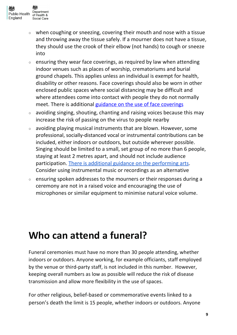

- when coughing or sneezing, covering their mouth and nose with a tissue and throwing away the tissue safely. If a mourner does not have a tissue, they should use the crook of their elbow (not hands) to cough or sneeze into
- $\circ$  ensuring they wear face coverings, as required by law when attending indoor venues such as places of worship, crematoriums and burial ground chapels. This applies unless an individual is exempt for health, disability or other reasons. Face coverings should also be worn in other enclosed public spaces where social distancing may be difficult and where attendees come into contact with people they do not normally meet. There is additional guidance on the use of face [coverings](https://www.gov.uk/government/publications/face-coverings-when-to-wear-one-and-how-to-make-your-own/face-coverings-when-to-wear-one-and-how-to-make-your-own#:~:text=You%20should%20also%20wear%20a,settings%2C%20such%20as%20GP%20surgeries.https://www.gov.uk/government/publications/face-coverings-when-to-wear-one-and-how-to-make-your-own/face-coverings-when-to-wear-one-and-how-to-make-your-own)
- avoiding singing, shouting, chanting and raising voices because this may increase the risk of passing on the virus to people nearby
- avoiding playing musical instruments that are blown. However, some professional, socially-distanced vocal or instrumental contributions can be included, either indoors or outdoors, but outside wherever possible. Singing should be limited to a small, set group of no more than 6 people, staying at least 2 metres apart, and should not include audience participation. There is additional guidance on the [performing](https://www.gov.uk/guidance/working-safely-during-coronavirus-covid-19/performing-arts) arts. Consider using instrumental music or recordings as an alternative
- ensuring spoken addresses to the mourners or their responses during a ceremony are not in a raised voice and encouraging the use of microphones or similar equipment to minimise natural voice volume.

### <span id="page-8-0"></span>**Who can attend a funeral?**

Funeral ceremonies must have no more than 30 people attending, whether indoors or outdoors. Anyone working, for example officiants, staff employed by the venue or third-party staff, is not included in this number. However, keeping overall numbers as low as possible will reduce the risk of disease transmission and allow more flexibility in the use of spaces.

For other religious, belief-based or commemorative events linked to a person's death the limit is 15 people, whether indoors or outdoors. Anyone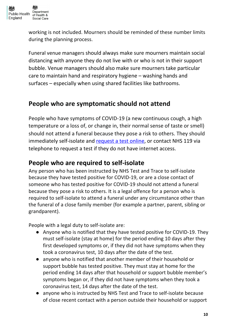

working is not included. Mourners should be reminded of these number limits during the planning process.

Funeral venue managers should always make sure mourners maintain social distancing with anyone they do not live with or who is not in their support bubble. Venue managers should also make sure mourners take particular care to maintain hand and respiratory hygiene – washing hands and surfaces – especially when using shared facilities like bathrooms.

#### **People who are symptomatic should not attend**

People who have symptoms of COVID-19 (a new continuous cough, a high temperature or a loss of, or change in, their normal sense of taste or smell) should not attend a funeral because they pose a risk to others. They should immediately self-isolate and [request](https://www.gov.uk/get-coronavirus-test) a test online, or contact NHS 119 via telephone to request a test if they do not have internet access.

#### <span id="page-9-0"></span>**People who are required to self-isolate**

Any person who has been instructed by NHS Test and Trace to self-isolate because they have tested positive for COVID-19, or are a close contact of someone who has tested positive for COVID-19 should not attend a funeral because they pose a risk to others. It is a legal offence for a person who is required to self-isolate to attend a funeral under any circumstance other than the funeral of a close family member (for example a partner, parent, sibling or grandparent).

People with a legal duty to self-isolate are:

- Anyone who is notified that they have tested positive for COVID-19. They must self-isolate (stay at home) for the period ending 10 days after they first developed symptoms or, if they did not have symptoms when they took a coronavirus test, 10 days after the date of the test.
- anyone who is notified that another member of their household or support bubble has tested positive. They must stay at home for the period ending 14 days after that household or support bubble member's symptoms began or, if they did not have symptoms when they took a coronavirus test, 14 days after the date of the test.
- anyone who is instructed by NHS Test and Trace to self-isolate because of close recent contact with a person outside their household or support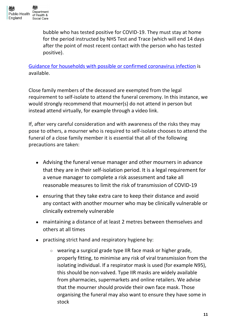bubble who has tested positive for COVID-19. They must stay at home for the period instructed by NHS Test and Trace (which will end 14 days after the point of most recent contact with the person who has tested positive).

Guidance for households with possible or confirmed [coronavirus](https://www.gov.uk/government/publications/covid-19-stay-at-home-guidance) infection is available.

Close family members of the deceased are exempted from the legal requirement to self-isolate to attend the funeral ceremony. In this instance, we would strongly recommend that mourner(s) do not attend in person but instead attend virtually, for example through a video link.

If, after very careful consideration and with awareness of the risks they may pose to others, a mourner who is required to self-isolate chooses to attend the funeral of a close family member it is essential that all of the following precautions are taken:

- Advising the funeral venue manager and other mourners in advance that they are in their self-isolation period. It is a legal requirement for a venue manager to complete a risk assessment and take all reasonable measures to limit the risk of transmission of COVID-19
- ensuring that they take extra care to keep their distance and avoid any contact with another mourner who may be clinically vulnerable or clinically extremely vulnerable
- maintaining a distance of at least 2 metres between themselves and others at all times
- practising strict hand and respiratory hygiene by:
	- wearing a surgical grade type IIR face mask or higher grade, properly fitting, to minimise any risk of viral transmission from the isolating individual. If a respirator mask is used (for example N95), this should be non-valved. Type IIR masks are widely available from pharmacies, supermarkets and online retailers. We advise that the mourner should provide their own face mask. Those organising the funeral may also want to ensure they have some in stock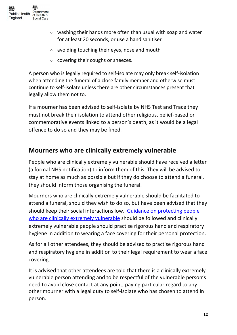

- washing their hands more often than usual with soap and water for at least 20 seconds, or use a hand sanitiser
- avoiding touching their eyes, nose and mouth
- covering their coughs or sneezes.

A person who is legally required to self-isolate may only break self-isolation when attending the funeral of a close family member and otherwise must continue to self-isolate unless there are other circumstances present that legally allow them not to.

If a mourner has been advised to self-isolate by NHS Test and Trace they must not break their isolation to attend other religious, belief-based or commemorative events linked to a person's death, as it would be a legal offence to do so and they may be fined.

#### **Mourners who are clinically extremely vulnerable**

People who are clinically extremely [vulnerable](https://www.gov.uk/government/publications/guidance-on-shielding-and-protecting-extremely-vulnerable-persons-from-covid-19/guidance-on-shielding-and-protecting-extremely-vulnerable-persons-from-covid-19) should have received a letter (a formal NHS notification) to inform them of this. They will be advised to stay at home as much as possible but if they do choose to attend a funeral, they should inform those organising the funeral.

Mourners who are clinically extremely vulnerable should be facilitated to attend a funeral, should they wish to do so, but have been advised that they should keep their social interactions low. Guidance on [protecting](https://www.gov.uk/government/publications/guidance-on-shielding-and-protecting-extremely-vulnerable-persons-from-covid-19/guidance-on-shielding-and-protecting-extremely-vulnerable-persons-from-covid-19) people who are clinically extremely [vulnerable](https://www.gov.uk/government/publications/guidance-on-shielding-and-protecting-extremely-vulnerable-persons-from-covid-19/guidance-on-shielding-and-protecting-extremely-vulnerable-persons-from-covid-19) should be followed and clinically extremely vulnerable people should practise rigorous hand and respiratory hygiene in addition to wearing a face covering for their personal protection.

As for all other attendees, they should be advised to practise rigorous hand and respiratory hygiene in addition to their legal requirement to wear a face covering.

It is advised that other attendees are told that there is a clinically extremely vulnerable person attending and to be respectful of the vulnerable person's need to avoid close contact at any point, paying particular regard to any other mourner with a legal duty to self-isolate who has chosen to attend in person.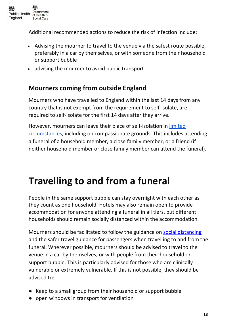

Additional recommended actions to reduce the risk of infection include:

- Advising the mourner to travel to the venue via the safest route possible, preferably in a car by themselves, or with someone from their household or support bubble
- advising the mourner to avoid public transport.

#### **Mourners coming from outside England**

Mourners who have travelled to England within the last 14 days from any country that is not exempt from the [requirement](https://www.gov.uk/guidance/coronavirus-covid-19-travel-corridors) to self-isolate, are required to self-isolate for the first 14 days after they arrive.

However, mourners can leave their place of self-isolation in [limited](https://www.gov.uk/government/publications/coronavirus-covid-19-how-to-self-isolate-when-you-travel-to-the-uk/coronavirus-covid-19-how-to-self-isolate-when-you-travel-to-the-uk#how-to-self-isolate-in-your-accommodation) [circumstances](https://www.gov.uk/government/publications/coronavirus-covid-19-how-to-self-isolate-when-you-travel-to-the-uk/coronavirus-covid-19-how-to-self-isolate-when-you-travel-to-the-uk#how-to-self-isolate-in-your-accommodation), including on compassionate grounds. This includes attending a funeral of a household member, a close family member, or a friend (if neither household member or close family member can attend the funeral).

### <span id="page-12-0"></span>**Travelling to and from a funeral**

People in the same support bubble can stay overnight with each other as they count as one household. Hotels may also remain open to provide accommodation for anyone attending a funeral in all tiers, but different households should remain socially distanced within the accommodation.

Mourners should be facilitated to follow the [guidance](https://www.gov.uk/government/publications/coronavirus-covid-19-meeting-with-others-safely-social-distancing/coronavirus-covid-19-meeting-with-others-safely-social-distancing) on social [distancing](https://www.gov.uk/government/publications/coronavirus-covid-19-meeting-with-others-safely-social-distancing/coronavirus-covid-19-meeting-with-others-safely-social-distancing) and the safer travel guidance for [passengers](https://www.gov.uk/guidance/coronavirus-covid-19-safer-travel-guidance-for-passengers) when travelling to and from the funeral. Wherever possible, mourners should be advised to travel to the venue in a car by themselves, or with people from their household or support bubble. This is particularly advised for those who are clinically vulnerable or extremely vulnerable. If this is not possible, they should be advised to:

- Keep to a small group from their household or support bubble
- open windows in transport for ventilation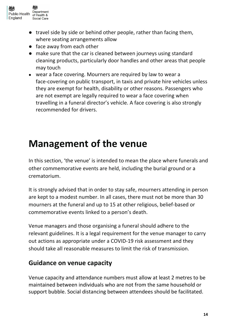

- travel side by side or behind other people, rather than facing them, where seating arrangements allow
- face away from each other
- make sure that the car is cleaned between journeys using standard cleaning products, particularly door handles and other areas that people may touch
- wear a face covering. Mourners are required by law to wear a face-covering on public transport, in taxis and private hire vehicles unless they are exempt for health, disability or other reasons. Passengers who are not exempt are legally required to wear a face covering when travelling in a funeral director's vehicle. A face covering is also strongly recommended for drivers.

### <span id="page-13-0"></span>**Management of the venue**

In this section, 'the venue' is intended to mean the place where funerals and other commemorative events are held, including the burial ground or a crematorium.

It is strongly advised that in order to stay safe, mourners attending in person are kept to a modest number. In all cases, there must not be more than 30 mourners at the funeral and up to 15 at other religious, belief-based or commemorative events linked to a person's death.

Venue managers and those organising a funeral should adhere to the relevant guidelines. It is a legal requirement for the venue manager to carry out actions as appropriate under a COVID-19 risk [assessment](https://www.hse.gov.uk/coronavirus/working-safely/risk-assessment.htm) and they should take all reasonable measures to limit the risk of transmission.

#### **Guidance on venue capacity**

Venue capacity and attendance numbers must allow at least 2 metres to be maintained between individuals who are not from the same household or support bubble. Social distancing between attendees should be facilitated.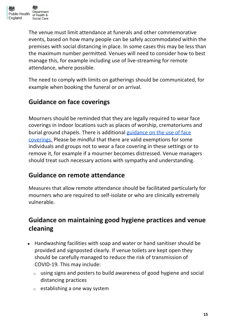The venue must limit attendance at funerals and other commemorative events, based on how many people can be safely accommodated within the premises with social distancing in place. In some cases this may be less than the maximum number permitted. Venues will need to consider how to best manage this, for example including use of live-streaming for remote attendance, where possible.

The need to comply with limits on gatherings should be communicated, for example when booking the funeral or on arrival.

### **Guidance on face coverings**

Mourners should be reminded that they are legally required to wear face coverings in indoor locations such as places of worship, crematoriums and burial ground chapels. There is additional [guidance](https://www.gov.uk/government/publications/face-coverings-when-to-wear-one-and-how-to-make-your-own) on the use of face [coverings](https://www.gov.uk/government/publications/face-coverings-when-to-wear-one-and-how-to-make-your-own). Please be mindful that there are valid exemptions for some individuals and groups not to wear a face covering in these settings or to remove it, for example if a mourner becomes distressed. Venue managers should treat such necessary actions with sympathy and understanding.

#### **Guidance on remote attendance**

Measures that allow remote attendance should be facilitated particularly for mourners who are required to self-isolate or who are clinically extremely vulnerable.

### **Guidance on maintaining good hygiene practices and venue cleaning**

- Handwashing facilities with soap and water or hand sanitiser should be provided and signposted clearly. If venue toilets are kept open they should be carefully managed to reduce the risk of transmission of COVID-19. This may include:
	- <sup>o</sup> using signs and posters to build awareness of good hygiene and social distancing practices
	- $\circ$  establishing a one way system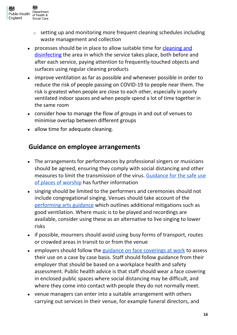

- setting up and monitoring more frequent cleaning schedules including waste management and collection
- processes should be in place to allow suitable time for [cleaning](https://www.gov.uk/government/publications/covid-19-decontamination-in-non-healthcare-settings/covid-19-decontamination-in-non-healthcare-settings) and [disinfecting](https://www.gov.uk/government/publications/covid-19-decontamination-in-non-healthcare-settings/covid-19-decontamination-in-non-healthcare-settings) the area in which the service takes place, both before and after each service, paying attention to frequently-touched objects and surfaces using regular cleaning products
- improve ventilation as far as possible and whenever possible in order to reduce the risk of people passing on COVID-19 to people near them. The risk is greatest when people are close to each other, especially in poorly ventilated indoor spaces and when people spend a lot of time together in the same room
- consider how to manage the flow of groups in and out of venues to minimise overlap between different groups
- allow time for adequate cleaning.

#### **Guidance on employee arrangements**

- The arrangements for performances by professional singers or musicians should be agreed, ensuring they comply with social distancing and other measures to limit the transmission of the virus. [Guidance](https://www.gov.uk/government/publications/covid-19-guidance-for-the-safe-use-of-places-of-worship-during-the-pandemic-from-4-july) for the safe use of places of [worship](https://www.gov.uk/government/publications/covid-19-guidance-for-the-safe-use-of-places-of-worship-during-the-pandemic-from-4-july) has further information
- singing should be limited to the performers and ceremonies should not include congregational singing. Venues should take account of the [performing](https://www.gov.uk/guidance/working-safely-during-coronavirus-covid-19/performing-arts) arts guidance which outlines additional mitigations such as good ventilation. Where music is to be played and recordings are available, consider using these as an alternative to live singing to lower risks
- if possible, mourners should avoid using busy forms of transport, routes or crowded areas in transit to or from the venue
- employers should follow the guidance on face [coverings](https://www.gov.uk/government/publications/face-coverings-when-to-wear-one-and-how-to-make-your-own/face-coverings-when-to-wear-one-and-how-to-make-your-own#face-coverings-at-work) at work to assess their use on a case by case basis. Staff should follow guidance from their employer that should be based on a workplace health and safety assessment. Public health advice is that staff should wear a face covering in enclosed public spaces where social distancing may be difficult, and where they come into contact with people they do not normally meet.
- venue managers can enter into a suitable arrangement with others carrying out services in their venue, for example funeral directors, and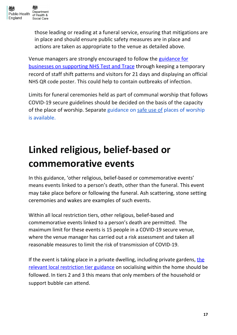

those leading or reading at a funeral service, ensuring that mitigations are in place and should ensure public safety measures are in place and actions are taken as appropriate to the venue as detailed above.

Venue managers are strongly encouraged to follow the [guidance](https://www.gov.uk/guidance/maintaining-records-of-staff-customers-and-visitors-to-support-nhs-test-and-trace) for businesses on [supporting](https://www.gov.uk/guidance/maintaining-records-of-staff-customers-and-visitors-to-support-nhs-test-and-trace) NHS Test and Trace through keeping a temporary record of staff shift patterns and visitors for 21 days and displaying an official NHS QR code poster. This could help to contain outbreaks of infection.

Limits for funeral ceremonies held as part of communal worship that follows COVID-19 secure guidelines should be decided on the basis of the capacity of the place of worship. Separate [guidance](https://www.gov.uk/government/publications/covid-19-guidance-for-the-safe-use-of-places-of-worship-during-the-pandemic-from-4-july) on [safe](https://www.gov.uk/government/publications/covid-19-guidance-for-the-safe-use-of-places-of-worship-during-the-pandemic-from-4-july) use of places of [worship](https://www.gov.uk/government/publications/covid-19-guidance-for-the-safe-use-of-places-of-worship-during-the-pandemic-from-4-july) is [available.](https://www.gov.uk/government/publications/covid-19-guidance-for-the-safe-use-of-places-of-worship-during-the-pandemic-from-4-july)

# <span id="page-16-0"></span>**Linked religious, belief-based or commemorative events**

In this guidance, 'other religious, belief-based or commemorative events' means events linked to a person's death, other than the funeral. This event may take place before or following the funeral. Ash scattering, stone setting ceremonies and wakes are examples of such events.

Within all local restriction tiers, other religious, belief-based and commemorative events linked to a person's death are permitted. The maximum limit for these events is 15 people in a COVID-19 secure venue, where the venue manager has carried out a risk assessment and taken all reasonable measures to limit the risk of transmission of COVID-19.

If [the](https://www.gov.uk/guidance/local-restriction-tiers-what-you-need-to-know) event is taking place in a private dwelling, including private gardens, the relevant local [restriction](https://www.gov.uk/guidance/local-restriction-tiers-what-you-need-to-know) tier guidance on [socialising](https://www.gov.uk/guidance/local-restriction-tiers-what-you-need-to-know#medium-alert) within the home should be followed. In tiers 2 and 3 this means that only members of the household or support bubble can attend.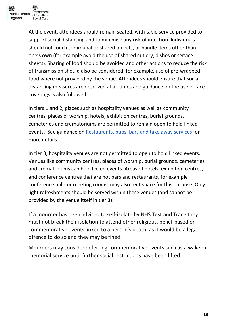

At the event, attendees should remain seated, with table service provided to support social distancing and to minimise any risk of infection. Individuals should not touch communal or shared objects, or handle items other than one's own (for example avoid the use of shared cutlery, dishes or service sheets). Sharing of food should be avoided and other actions to reduce the risk of transmission should also be considered, for example, use of pre-wrapped food where not provided by the venue. Attendees should ensure that social distancing measures are observed at all times and [guidance](https://www.gov.uk/government/publications/face-coverings-when-to-wear-one-and-how-to-make-your-own/face-coverings-when-to-wear-one-and-how-to-make-your-own#:~:text=You%20should%20also%20wear%20a,settings%2C%20such%20as%20GP%20surgeries.https://www.gov.uk/government/publications/face-coverings-when-to-wear-one-and-how-to-make-your-own/face-coverings-when-to-wear-one-and-how-to-make-your-own) on the use of face [coverings](https://www.gov.uk/government/publications/face-coverings-when-to-wear-one-and-how-to-make-your-own/face-coverings-when-to-wear-one-and-how-to-make-your-own#:~:text=You%20should%20also%20wear%20a,settings%2C%20such%20as%20GP%20surgeries.https://www.gov.uk/government/publications/face-coverings-when-to-wear-one-and-how-to-make-your-own/face-coverings-when-to-wear-one-and-how-to-make-your-own) is also followed.

In tiers 1 and 2, places such as hospitality venues as well as community centres, places of worship, hotels, exhibition centres, burial grounds, cemeteries and crematoriums are permitted to remain open to hold linked events. See guidance on [Restaurants,](https://www.gov.uk/guidance/working-safely-during-coronavirus-covid-19/restaurants-offering-takeaway-or-delivery) pubs, bars and take away services for more details.

In tier 3, hospitality venues are not permitted to open to hold linked events. Venues like community centres, places of worship, burial grounds, cemeteries and crematoriums can hold linked events. Areas of hotels, exhibition centres, and conference centres that are not bars and restaurants, for example conference halls or meeting rooms, may also rent space for this purpose. Only light refreshments should be served within these venues (and cannot be provided by the venue itself in tier 3).

If a mourner has been advised to self-isolate by NHS Test and Trace they must not break their isolation to attend other religious, belief-based or commemorative events linked to a person's death, as it would be a legal offence to do so and they may be fined.

Mourners may consider deferring commemorative events such as a wake or memorial service until further social restrictions have been lifted.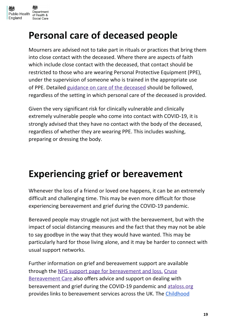

### <span id="page-18-0"></span>**Personal care of deceased people**

Mourners are advised not to take part in rituals or practices that bring them into close contact with the deceased. Where there are aspects of faith which include close contact with the deceased, that contact should be restricted to those who are wearing Personal Protective Equipment (PPE), under the supervision of someone who is trained in the appropriate use of PPE. Detailed guidance on care of the [deceased](https://www.gov.uk/government/publications/covid-19-guidance-for-care-of-the-deceased/guidance-for-care-of-the-deceased-with-suspected-or-confirmed-coronavirus-covid-19) should be followed, regardless of the setting in which personal care of the deceased is provided.

Given the very significant risk for clinically vulnerable and clinically extremely vulnerable people who come into contact with COVID-19, it is strongly advised that they have no contact with the body of the deceased, regardless of whether they are wearing PPE. This includes washing, preparing or dressing the body.

### <span id="page-18-1"></span>**Experiencing grief or bereavement**

Whenever the loss of a friend or loved one happens, it can be an extremely difficult and challenging time. This may be even more difficult for those experiencing bereavement and grief during the COVID-19 pandemic.

Bereaved people may struggle not just with the bereavement, but with the impact of social distancing measures and the fact that they may not be able to say goodbye in the way that they would have wanted. This may be particularly hard for those living alone, and it may be harder to connect with usual support networks.

Further information on grief and bereavement support are available through the NHS support page for [bereavement](https://www.nhs.uk/conditions/stress-anxiety-depression/coping-with-bereavement/) and loss. [Cruse](https://www.cruse.org.uk/get-help/coronavirus-dealing-bereavement-and-grief) [Bereavement](https://www.cruse.org.uk/get-help/coronavirus-dealing-bereavement-and-grief) Care also offers advice and support on dealing with bereavement and grief during the COVID-19 pandemic and [ataloss.org](https://www.ataloss.org/) provides links to bereavement services across the UK. The [Childhood](http://www.childhoodbereavementnetwork.org.uk/)